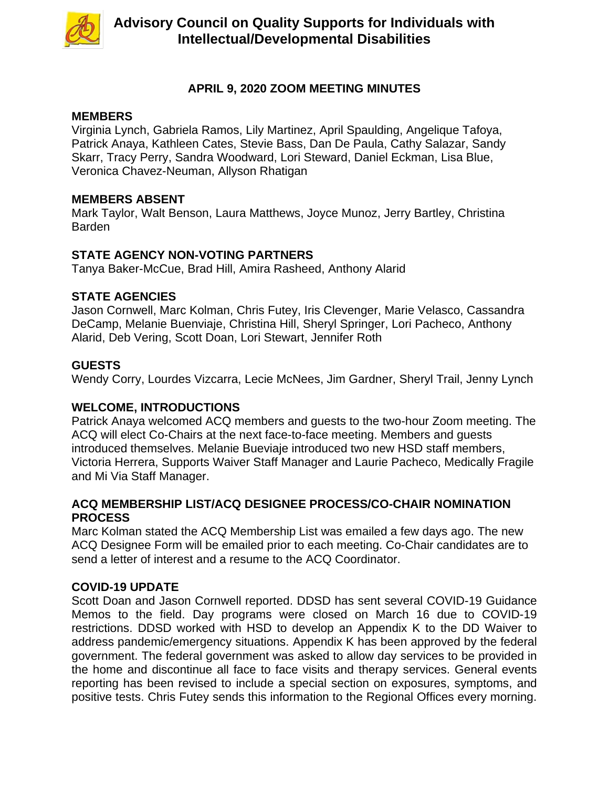

# **APRIL 9, 2020 ZOOM MEETING MINUTES**

### **MEMBERS**

Virginia Lynch, Gabriela Ramos, Lily Martinez, April Spaulding, Angelique Tafoya, Patrick Anaya, Kathleen Cates, Stevie Bass, Dan De Paula, Cathy Salazar, Sandy Skarr, Tracy Perry, Sandra Woodward, Lori Steward, Daniel Eckman, Lisa Blue, Veronica Chavez-Neuman, Allyson Rhatigan

## **MEMBERS ABSENT**

Mark Taylor, Walt Benson, Laura Matthews, Joyce Munoz, Jerry Bartley, Christina Barden

# **STATE AGENCY NON-VOTING PARTNERS**

Tanya Baker-McCue, Brad Hill, Amira Rasheed, Anthony Alarid

## **STATE AGENCIES**

Jason Cornwell, Marc Kolman, Chris Futey, Iris Clevenger, Marie Velasco, Cassandra DeCamp, Melanie Buenviaje, Christina Hill, Sheryl Springer, Lori Pacheco, Anthony Alarid, Deb Vering, Scott Doan, Lori Stewart, Jennifer Roth

# **GUESTS**

Wendy Corry, Lourdes Vizcarra, Lecie McNees, Jim Gardner, Sheryl Trail, Jenny Lynch

# **WELCOME, INTRODUCTIONS**

Patrick Anaya welcomed ACQ members and guests to the two-hour Zoom meeting. The ACQ will elect Co-Chairs at the next face-to-face meeting. Members and guests introduced themselves. Melanie Bueviaje introduced two new HSD staff members, Victoria Herrera, Supports Waiver Staff Manager and Laurie Pacheco, Medically Fragile and Mi Via Staff Manager.

## **ACQ MEMBERSHIP LIST/ACQ DESIGNEE PROCESS/CO-CHAIR NOMINATION PROCESS**

Marc Kolman stated the ACQ Membership List was emailed a few days ago. The new ACQ Designee Form will be emailed prior to each meeting. Co-Chair candidates are to send a letter of interest and a resume to the ACQ Coordinator.

# **COVID-19 UPDATE**

Scott Doan and Jason Cornwell reported. DDSD has sent several COVID-19 Guidance Memos to the field. Day programs were closed on March 16 due to COVID-19 restrictions. DDSD worked with HSD to develop an Appendix K to the DD Waiver to address pandemic/emergency situations. Appendix K has been approved by the federal government. The federal government was asked to allow day services to be provided in the home and discontinue all face to face visits and therapy services. General events reporting has been revised to include a special section on exposures, symptoms, and positive tests. Chris Futey sends this information to the Regional Offices every morning.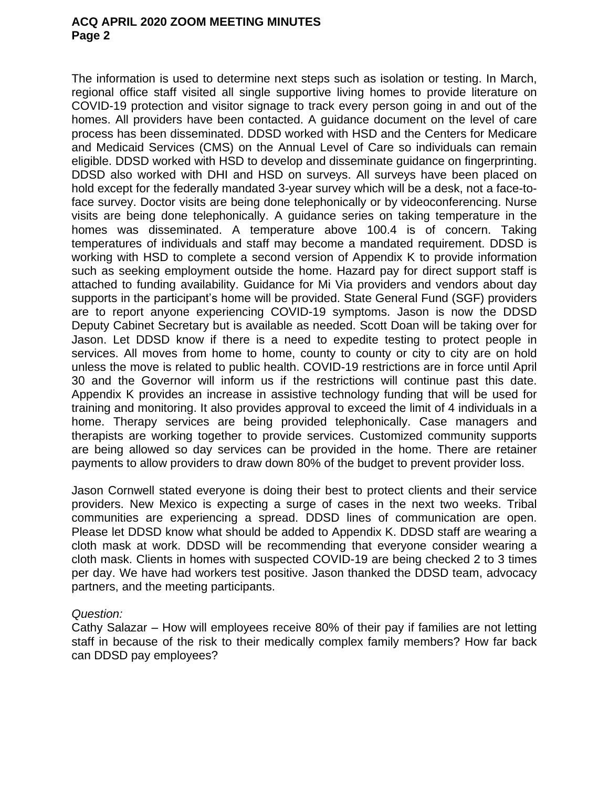The information is used to determine next steps such as isolation or testing. In March, regional office staff visited all single supportive living homes to provide literature on COVID-19 protection and visitor signage to track every person going in and out of the homes. All providers have been contacted. A guidance document on the level of care process has been disseminated. DDSD worked with HSD and the Centers for Medicare and Medicaid Services (CMS) on the Annual Level of Care so individuals can remain eligible. DDSD worked with HSD to develop and disseminate guidance on fingerprinting. DDSD also worked with DHI and HSD on surveys. All surveys have been placed on hold except for the federally mandated 3-year survey which will be a desk, not a face-toface survey. Doctor visits are being done telephonically or by videoconferencing. Nurse visits are being done telephonically. A guidance series on taking temperature in the homes was disseminated. A temperature above 100.4 is of concern. Taking temperatures of individuals and staff may become a mandated requirement. DDSD is working with HSD to complete a second version of Appendix K to provide information such as seeking employment outside the home. Hazard pay for direct support staff is attached to funding availability. Guidance for Mi Via providers and vendors about day supports in the participant's home will be provided. State General Fund (SGF) providers are to report anyone experiencing COVID-19 symptoms. Jason is now the DDSD Deputy Cabinet Secretary but is available as needed. Scott Doan will be taking over for Jason. Let DDSD know if there is a need to expedite testing to protect people in services. All moves from home to home, county to county or city to city are on hold unless the move is related to public health. COVID-19 restrictions are in force until April 30 and the Governor will inform us if the restrictions will continue past this date. Appendix K provides an increase in assistive technology funding that will be used for training and monitoring. It also provides approval to exceed the limit of 4 individuals in a home. Therapy services are being provided telephonically. Case managers and therapists are working together to provide services. Customized community supports are being allowed so day services can be provided in the home. There are retainer payments to allow providers to draw down 80% of the budget to prevent provider loss.

Jason Cornwell stated everyone is doing their best to protect clients and their service providers. New Mexico is expecting a surge of cases in the next two weeks. Tribal communities are experiencing a spread. DDSD lines of communication are open. Please let DDSD know what should be added to Appendix K. DDSD staff are wearing a cloth mask at work. DDSD will be recommending that everyone consider wearing a cloth mask. Clients in homes with suspected COVID-19 are being checked 2 to 3 times per day. We have had workers test positive. Jason thanked the DDSD team, advocacy partners, and the meeting participants.

#### *Question:*

Cathy Salazar – How will employees receive 80% of their pay if families are not letting staff in because of the risk to their medically complex family members? How far back can DDSD pay employees?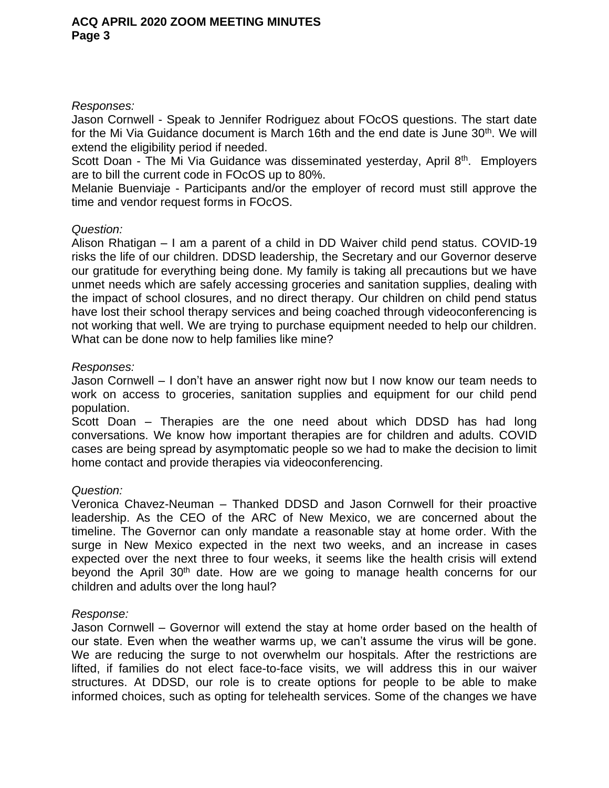#### *Responses:*

Jason Cornwell - Speak to Jennifer Rodriguez about FOcOS questions. The start date for the Mi Via Guidance document is March 16th and the end date is June 30<sup>th</sup>. We will extend the eligibility period if needed.

Scott Doan - The Mi Via Guidance was disseminated yesterday, April 8<sup>th</sup>. Employers are to bill the current code in FOcOS up to 80%.

Melanie Buenviaje - Participants and/or the employer of record must still approve the time and vendor request forms in FOcOS.

### *Question:*

Alison Rhatigan – I am a parent of a child in DD Waiver child pend status. COVID-19 risks the life of our children. DDSD leadership, the Secretary and our Governor deserve our gratitude for everything being done. My family is taking all precautions but we have unmet needs which are safely accessing groceries and sanitation supplies, dealing with the impact of school closures, and no direct therapy. Our children on child pend status have lost their school therapy services and being coached through videoconferencing is not working that well. We are trying to purchase equipment needed to help our children. What can be done now to help families like mine?

#### *Responses:*

Jason Cornwell – I don't have an answer right now but I now know our team needs to work on access to groceries, sanitation supplies and equipment for our child pend population.

Scott Doan – Therapies are the one need about which DDSD has had long conversations. We know how important therapies are for children and adults. COVID cases are being spread by asymptomatic people so we had to make the decision to limit home contact and provide therapies via videoconferencing.

### *Question:*

Veronica Chavez-Neuman – Thanked DDSD and Jason Cornwell for their proactive leadership. As the CEO of the ARC of New Mexico, we are concerned about the timeline. The Governor can only mandate a reasonable stay at home order. With the surge in New Mexico expected in the next two weeks, and an increase in cases expected over the next three to four weeks, it seems like the health crisis will extend beyond the April 30<sup>th</sup> date. How are we going to manage health concerns for our children and adults over the long haul?

#### *Response:*

Jason Cornwell – Governor will extend the stay at home order based on the health of our state. Even when the weather warms up, we can't assume the virus will be gone. We are reducing the surge to not overwhelm our hospitals. After the restrictions are lifted, if families do not elect face-to-face visits, we will address this in our waiver structures. At DDSD, our role is to create options for people to be able to make informed choices, such as opting for telehealth services. Some of the changes we have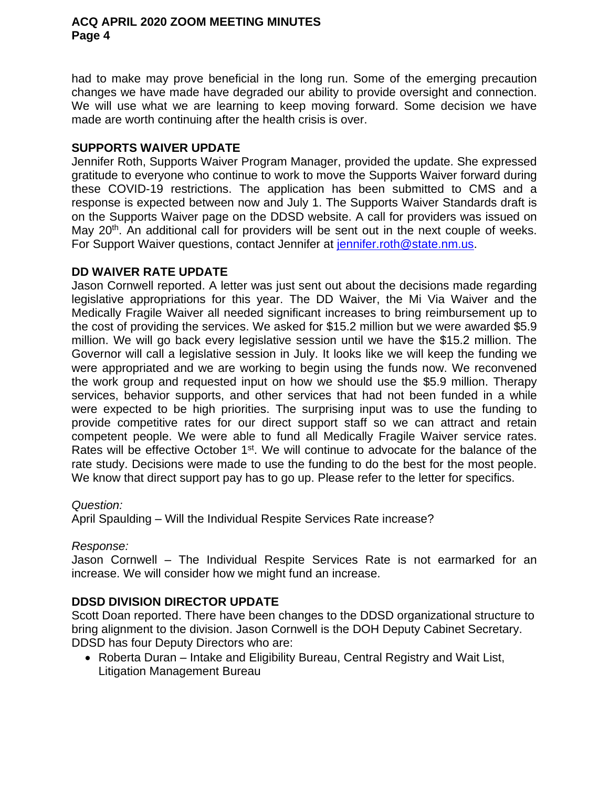had to make may prove beneficial in the long run. Some of the emerging precaution changes we have made have degraded our ability to provide oversight and connection. We will use what we are learning to keep moving forward. Some decision we have made are worth continuing after the health crisis is over.

#### **SUPPORTS WAIVER UPDATE**

Jennifer Roth, Supports Waiver Program Manager, provided the update. She expressed gratitude to everyone who continue to work to move the Supports Waiver forward during these COVID-19 restrictions. The application has been submitted to CMS and a response is expected between now and July 1. The Supports Waiver Standards draft is on the Supports Waiver page on the DDSD website. A call for providers was issued on May 20<sup>th</sup>. An additional call for providers will be sent out in the next couple of weeks. For Support Waiver questions, contact Jennifer at jennifer.roth@state.nm.us.

#### **DD WAIVER RATE UPDATE**

Jason Cornwell reported. A letter was just sent out about the decisions made regarding legislative appropriations for this year. The DD Waiver, the Mi Via Waiver and the Medically Fragile Waiver all needed significant increases to bring reimbursement up to the cost of providing the services. We asked for \$15.2 million but we were awarded \$5.9 million. We will go back every legislative session until we have the \$15.2 million. The Governor will call a legislative session in July. It looks like we will keep the funding we were appropriated and we are working to begin using the funds now. We reconvened the work group and requested input on how we should use the \$5.9 million. Therapy services, behavior supports, and other services that had not been funded in a while were expected to be high priorities. The surprising input was to use the funding to provide competitive rates for our direct support staff so we can attract and retain competent people. We were able to fund all Medically Fragile Waiver service rates. Rates will be effective October 1<sup>st</sup>. We will continue to advocate for the balance of the rate study. Decisions were made to use the funding to do the best for the most people. We know that direct support pay has to go up. Please refer to the letter for specifics.

#### *Question:*

April Spaulding – Will the Individual Respite Services Rate increase?

### *Response:*

Jason Cornwell – The Individual Respite Services Rate is not earmarked for an increase. We will consider how we might fund an increase.

### **DDSD DIVISION DIRECTOR UPDATE**

Scott Doan reported. There have been changes to the DDSD organizational structure to bring alignment to the division. Jason Cornwell is the DOH Deputy Cabinet Secretary. DDSD has four Deputy Directors who are:

 Roberta Duran – Intake and Eligibility Bureau, Central Registry and Wait List, Litigation Management Bureau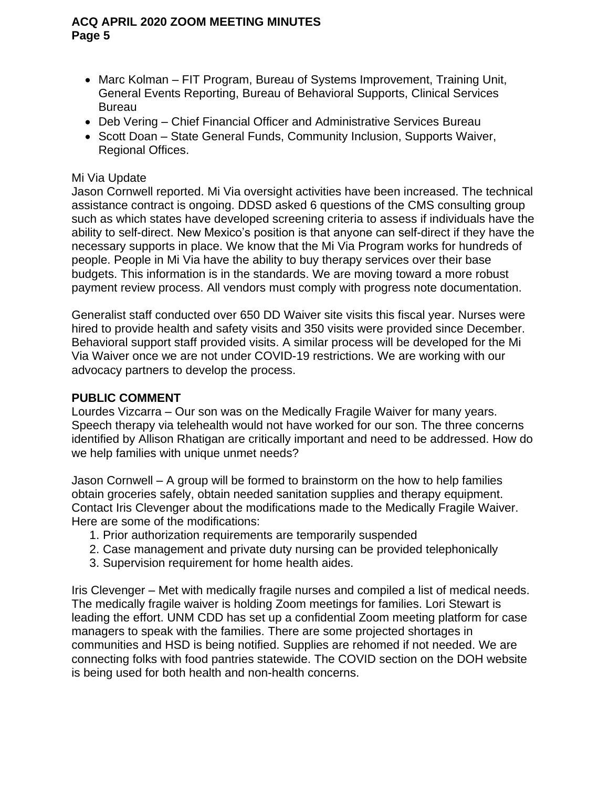- Marc Kolman FIT Program, Bureau of Systems Improvement, Training Unit, General Events Reporting, Bureau of Behavioral Supports, Clinical Services Bureau
- Deb Vering Chief Financial Officer and Administrative Services Bureau
- Scott Doan State General Funds, Community Inclusion, Supports Waiver, Regional Offices.

## Mi Via Update

Jason Cornwell reported. Mi Via oversight activities have been increased. The technical assistance contract is ongoing. DDSD asked 6 questions of the CMS consulting group such as which states have developed screening criteria to assess if individuals have the ability to self-direct. New Mexico's position is that anyone can self-direct if they have the necessary supports in place. We know that the Mi Via Program works for hundreds of people. People in Mi Via have the ability to buy therapy services over their base budgets. This information is in the standards. We are moving toward a more robust payment review process. All vendors must comply with progress note documentation.

Generalist staff conducted over 650 DD Waiver site visits this fiscal year. Nurses were hired to provide health and safety visits and 350 visits were provided since December. Behavioral support staff provided visits. A similar process will be developed for the Mi Via Waiver once we are not under COVID-19 restrictions. We are working with our advocacy partners to develop the process.

### **PUBLIC COMMENT**

Lourdes Vizcarra – Our son was on the Medically Fragile Waiver for many years. Speech therapy via telehealth would not have worked for our son. The three concerns identified by Allison Rhatigan are critically important and need to be addressed. How do we help families with unique unmet needs?

Jason Cornwell – A group will be formed to brainstorm on the how to help families obtain groceries safely, obtain needed sanitation supplies and therapy equipment. Contact Iris Clevenger about the modifications made to the Medically Fragile Waiver. Here are some of the modifications:

- 1. Prior authorization requirements are temporarily suspended
- 2. Case management and private duty nursing can be provided telephonically
- 3. Supervision requirement for home health aides.

Iris Clevenger – Met with medically fragile nurses and compiled a list of medical needs. The medically fragile waiver is holding Zoom meetings for families. Lori Stewart is leading the effort. UNM CDD has set up a confidential Zoom meeting platform for case managers to speak with the families. There are some projected shortages in communities and HSD is being notified. Supplies are rehomed if not needed. We are connecting folks with food pantries statewide. The COVID section on the DOH website is being used for both health and non-health concerns.